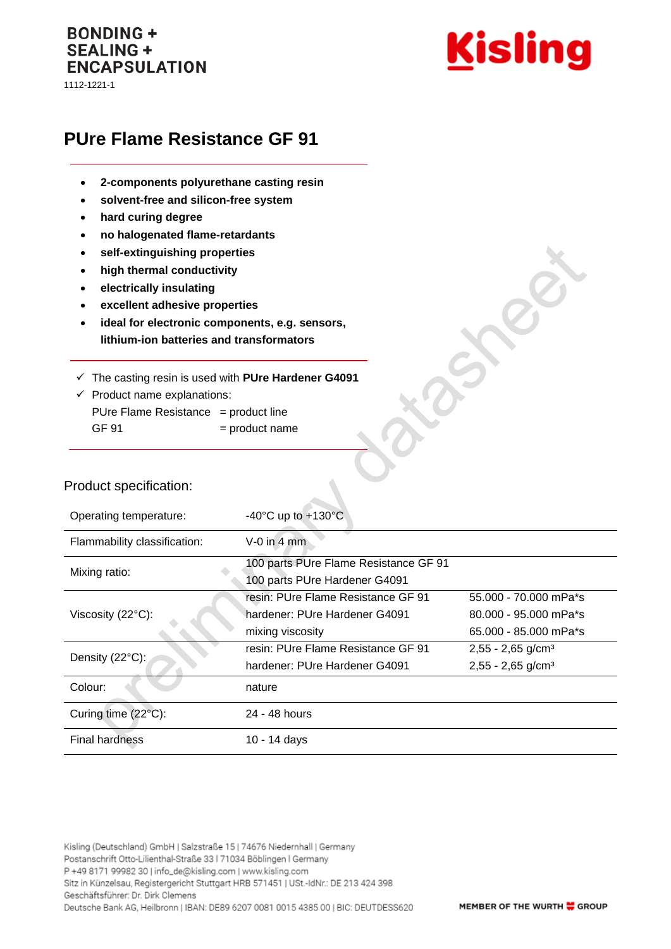## **BONDING + SEALING + ENCAPSULATION**

1112-1221-1



# **PUre Flame Resistance GF 91**

- **2-components polyurethane casting resin**
- **solvent-free and silicon-free system**
- **hard curing degree**
- **no halogenated flame-retardants**
- **self-extinguishing properties**
- **high thermal conductivity**
- **electrically insulating**
- **excellent adhesive properties**
- **ideal for electronic components, e.g. sensors, lithium-ion batteries and transformators**
- ✓ The casting resin is used with **PUre Hardener G4091**
- $\checkmark$  Product name explanations: PUre Flame Resistance = product line  $GF 91$  = product name

#### Product specification:

| Operating temperature:       | -40 $^{\circ}$ C up to +130 $^{\circ}$ C                                                |                                                                         |
|------------------------------|-----------------------------------------------------------------------------------------|-------------------------------------------------------------------------|
| Flammability classification: | $V-0$ in 4 mm                                                                           |                                                                         |
| Mixing ratio:                | 100 parts PUre Flame Resistance GF 91<br>100 parts PUre Hardener G4091                  |                                                                         |
| Viscosity $(22^{\circ}C)$ :  | resin: PUre Flame Resistance GF 91<br>hardener: PUre Hardener G4091<br>mixing viscosity | 55.000 - 70.000 mPa*s<br>80,000 - 95,000 mPa*s<br>65.000 - 85.000 mPa*s |
| Density (22°C):              | resin: PUre Flame Resistance GF 91<br>hardener: PUre Hardener G4091                     | $2,55 - 2,65$ g/cm <sup>3</sup><br>$2,55 - 2,65$ g/cm <sup>3</sup>      |
| Colour:                      | nature                                                                                  |                                                                         |
| Curing time (22°C):          | 24 - 48 hours                                                                           |                                                                         |
| <b>Final hardness</b>        | 10 - 14 days                                                                            |                                                                         |

Kisling (Deutschland) GmbH | Salzstraße 15 | 74676 Niedernhall | Germany Postanschrift Otto-Lilienthal-Straße 33 | 71034 Böblingen | Germany P +49 8171 99982 30 | info\_de@kisling.com | www.kisling.com Sitz in Künzelsau, Registergericht Stuttgart HRB 571451 | USt.-IdNr.: DE 213 424 398 Geschäftsführer: Dr. Dirk Clemens Deutsche Bank AG, Heilbronn | IBAN: DE89 6207 0081 0015 4385 00 | BIC: DEUTDESS620